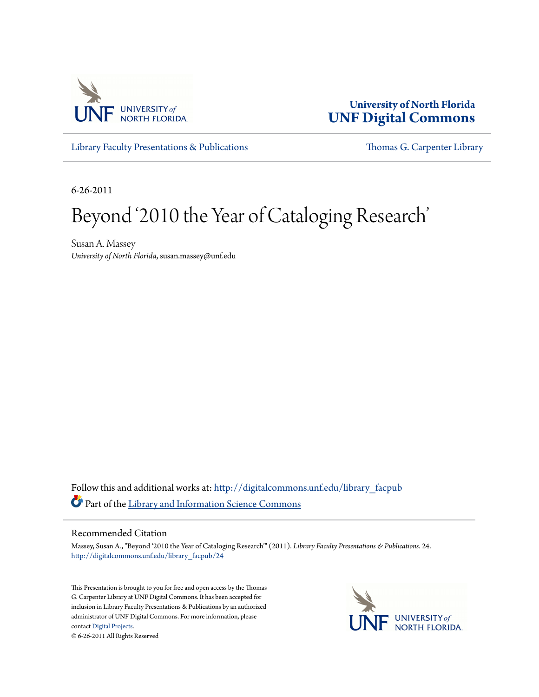

**University of North Florida [UNF Digital Commons](http://digitalcommons.unf.edu?utm_source=digitalcommons.unf.edu%2Flibrary_facpub%2F24&utm_medium=PDF&utm_campaign=PDFCoverPages)**

[Library Faculty Presentations & Publications](http://digitalcommons.unf.edu/library_facpub?utm_source=digitalcommons.unf.edu%2Flibrary_facpub%2F24&utm_medium=PDF&utm_campaign=PDFCoverPages) [Thomas G. Carpenter Library](http://digitalcommons.unf.edu/library?utm_source=digitalcommons.unf.edu%2Flibrary_facpub%2F24&utm_medium=PDF&utm_campaign=PDFCoverPages)

6-26-2011

#### Beyond '2010 the Year of Cataloging Research'

Susan A. Massey *University of North Florida*, susan.massey@unf.edu

Follow this and additional works at: [http://digitalcommons.unf.edu/library\\_facpub](http://digitalcommons.unf.edu/library_facpub?utm_source=digitalcommons.unf.edu%2Flibrary_facpub%2F24&utm_medium=PDF&utm_campaign=PDFCoverPages) Part of the [Library and Information Science Commons](http://network.bepress.com/hgg/discipline/1018?utm_source=digitalcommons.unf.edu%2Flibrary_facpub%2F24&utm_medium=PDF&utm_campaign=PDFCoverPages)

#### Recommended Citation

Massey, Susan A., "Beyond '2010 the Year of Cataloging Research'" (2011). *Library Faculty Presentations & Publications*. 24. [http://digitalcommons.unf.edu/library\\_facpub/24](http://digitalcommons.unf.edu/library_facpub/24?utm_source=digitalcommons.unf.edu%2Flibrary_facpub%2F24&utm_medium=PDF&utm_campaign=PDFCoverPages)

This Presentation is brought to you for free and open access by the Thomas G. Carpenter Library at UNF Digital Commons. It has been accepted for inclusion in Library Faculty Presentations & Publications by an authorized administrator of UNF Digital Commons. For more information, please contact [Digital Projects.](mailto:lib-digital@unf.edu) © 6-26-2011 All Rights Reserved

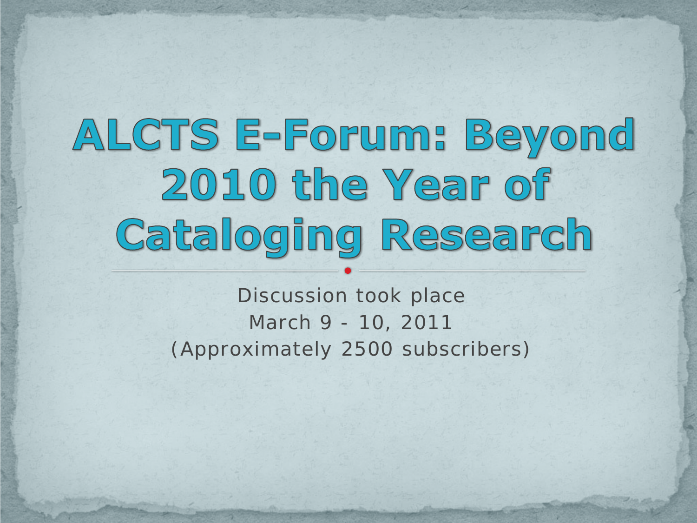# ALCTS E-Forum: Beyond 2010 the Year of Cataloging Research

Discussion took place March 9 - 10, 2011 (Approximately 2500 subscribers)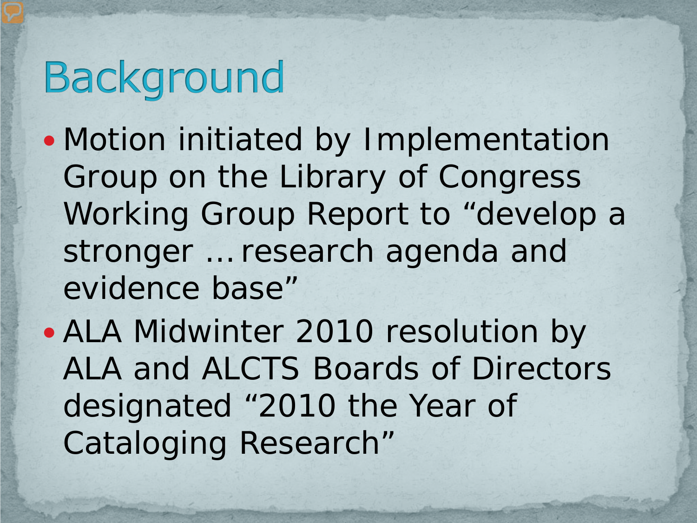## **Background**

- Motion initiated by Implementation Group on the Library of Congress Working Group Report to "develop a stronger … research agenda and evidence base"
- ALA Midwinter 2010 resolution by ALA and ALCTS Boards of Directors designated "2010 the Year of Cataloging Research"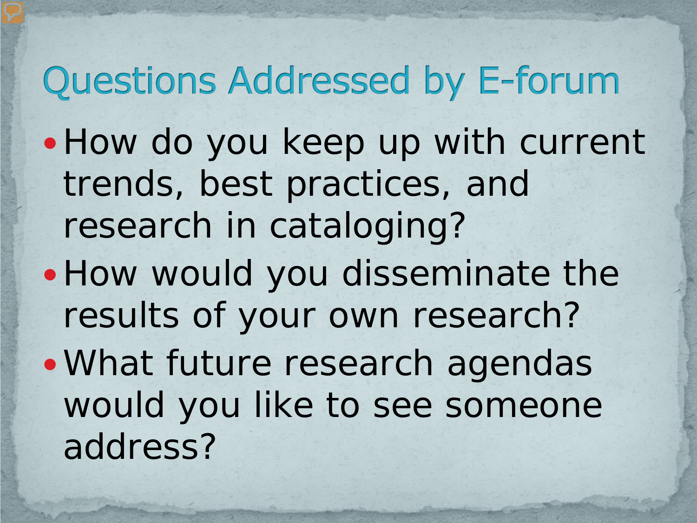#### **Questions Addressed by E-forum**

- How do you keep up with current trends, best practices, and research in cataloging?
- How would you disseminate the results of your own research?
- What future research agendas would you like to see someone address?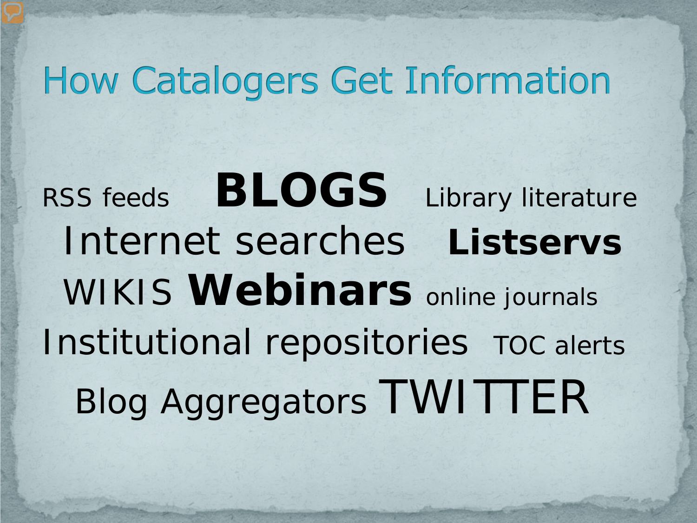#### **How Catalogers Get Information**

RSS feeds **BLOGS** Library literature Internet searches **Listservs**  WIKIS **Webinars** online journals Institutional repositories TOC alerts Blog Aggregators TWITTER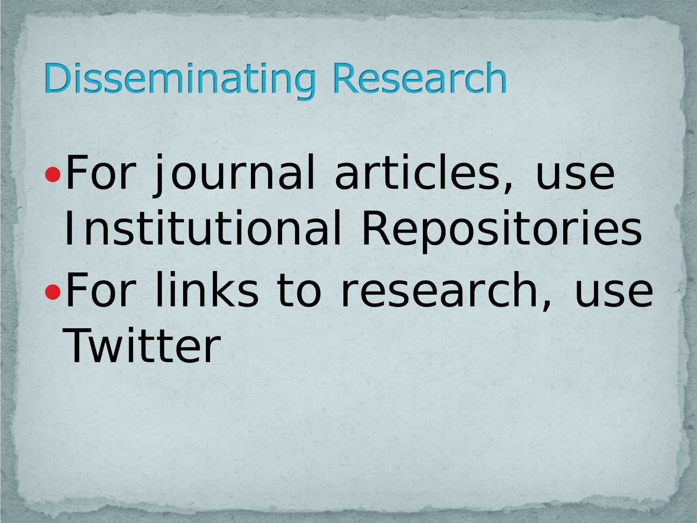### **Disseminating Research**

For journal articles, use Institutional Repositories For links to research, use Twitter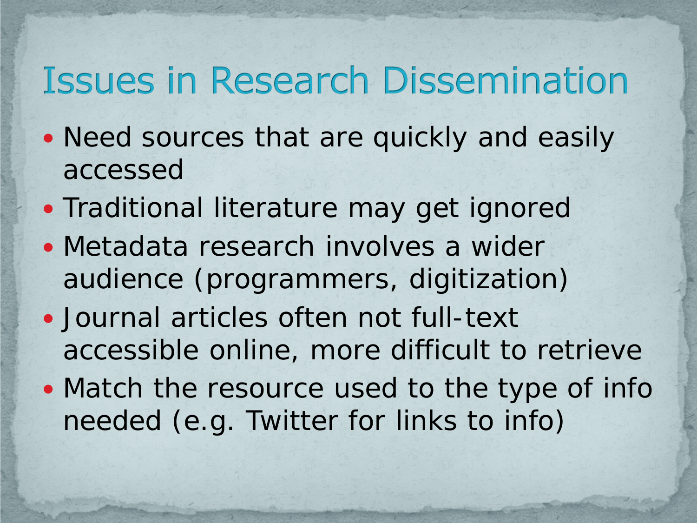#### **Issues in Research Dissemination**

- Need sources that are quickly and easily accessed
- Traditional literature may get ignored
- Metadata research involves a wider audience (programmers, digitization)
- Journal articles often not full-text accessible online, more difficult to retrieve
- Match the resource used to the type of info needed (e.g. Twitter for links to info)